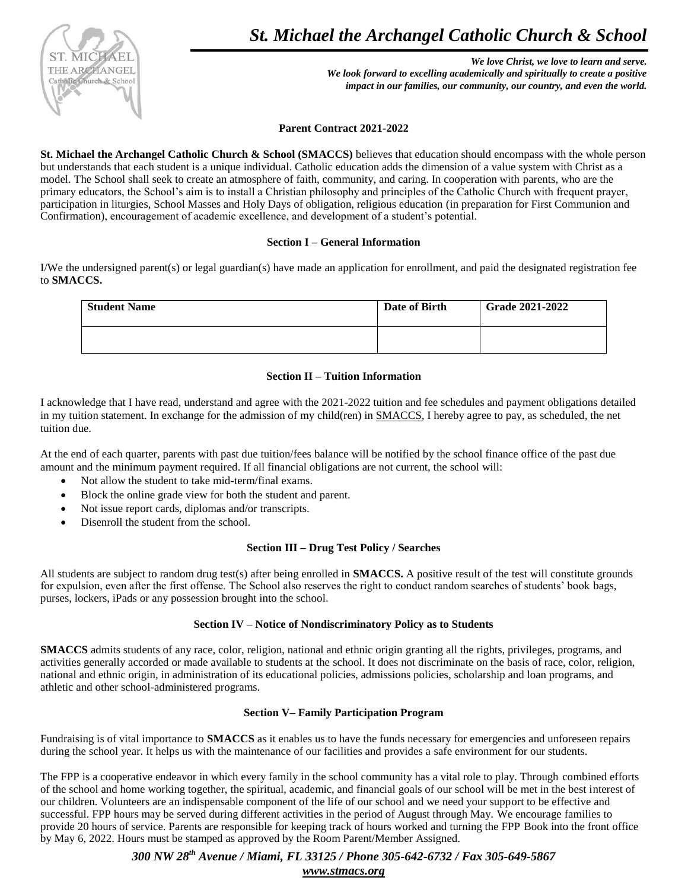

*We love Christ, we love to learn and serve. We look forward to excelling academically and spiritually to create a positive impact in our families, our community, our country, and even the world.*

**Parent Contract 2021-2022**

**St. Michael the Archangel Catholic Church & School (SMACCS)** believes that education should encompass with the whole person but understands that each student is a unique individual. Catholic education adds the dimension of a value system with Christ as a model. The School shall seek to create an atmosphere of faith, community, and caring. In cooperation with parents, who are the primary educators, the School's aim is to install a Christian philosophy and principles of the Catholic Church with frequent prayer, participation in liturgies, School Masses and Holy Days of obligation, religious education (in preparation for First Communion and Confirmation), encouragement of academic excellence, and development of a student's potential.

### **Section I – General Information**

I/We the undersigned parent(s) or legal guardian(s) have made an application for enrollment, and paid the designated registration fee to **SMACCS.**

| <b>Student Name</b> | Date of Birth | <b>Grade 2021-2022</b> |
|---------------------|---------------|------------------------|
|                     |               |                        |

## **Section II – Tuition Information**

I acknowledge that I have read, understand and agree with the 2021-2022 tuition and fee schedules and payment obligations detailed in my tuition statement. In exchange for the admission of my child(ren) in SMACCS, I hereby agree to pay, as scheduled, the net tuition due.

At the end of each quarter, parents with past due tuition/fees balance will be notified by the school finance office of the past due amount and the minimum payment required. If all financial obligations are not current, the school will:

- Not allow the student to take mid-term/final exams.
- Block the online grade view for both the student and parent.
- Not issue report cards, diplomas and/or transcripts.
- Disenroll the student from the school.

## **Section III – Drug Test Policy / Searches**

All students are subject to random drug test(s) after being enrolled in **SMACCS.** A positive result of the test will constitute grounds for expulsion, even after the first offense. The School also reserves the right to conduct random searches of students' book bags, purses, lockers, iPads or any possession brought into the school.

# **Section IV – Notice of Nondiscriminatory Policy as to Students**

**SMACCS** admits students of any race, color, religion, national and ethnic origin granting all the rights, privileges, programs, and activities generally accorded or made available to students at the school. It does not discriminate on the basis of race, color, religion, national and ethnic origin, in administration of its educational policies, admissions policies, scholarship and loan programs, and athletic and other school-administered programs.

## **Section V– Family Participation Program**

Fundraising is of vital importance to **SMACCS** as it enables us to have the funds necessary for emergencies and unforeseen repairs during the school year. It helps us with the maintenance of our facilities and provides a safe environment for our students.

The FPP is a cooperative endeavor in which every family in the school community has a vital role to play. Through combined efforts of the school and home working together, the spiritual, academic, and financial goals of our school will be met in the best interest of our children. Volunteers are an indispensable component of the life of our school and we need your support to be effective and successful. FPP hours may be served during different activities in the period of August through May. We encourage families to provide 20 hours of service. Parents are responsible for keeping track of hours worked and turning the FPP Book into the front office by May 6, 2022. Hours must be stamped as approved by the Room Parent/Member Assigned.

> *300 NW 28th Avenue / Miami, FL 33125 / Phone 305-642-6732 / Fax 305-649-5867 [www.stmacs.org](http://www.stmacs.org/)*